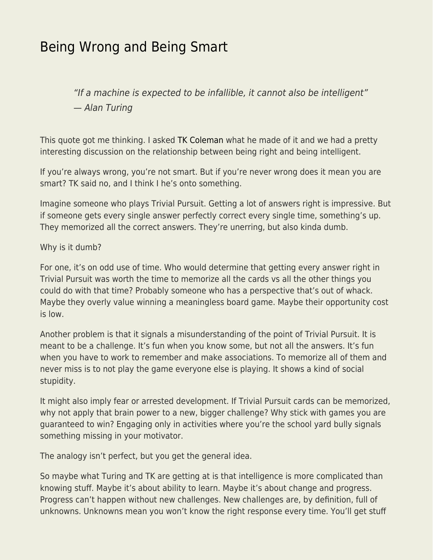## [Being Wrong and Being Smart](https://everything-voluntary.com/being-wrong-and-being-smart)

"If a machine is expected to be infallible, it cannot also be intelligent" — Alan Turing

This quote got me thinking. I asked [TK Coleman](http://tkcoleman.com/) what he made of it and we had a pretty interesting discussion on the relationship between being right and being intelligent.

If you're always wrong, you're not smart. But if you're never wrong does it mean you are smart? TK said no, and I think I he's onto something.

Imagine someone who plays Trivial Pursuit. Getting a lot of answers right is impressive. But if someone gets every single answer perfectly correct every single time, something's up. They memorized all the correct answers. They're unerring, but also kinda dumb.

## Why is it dumb?

For one, it's on odd use of time. Who would determine that getting every answer right in Trivial Pursuit was worth the time to memorize all the cards vs all the other things you could do with that time? Probably someone who has a perspective that's out of whack. Maybe they overly value winning a meaningless board game. Maybe their opportunity cost is low.

Another problem is that it signals a misunderstanding of the point of Trivial Pursuit. It is meant to be a challenge. It's fun when you know some, but not all the answers. It's fun when you have to work to remember and make associations. To memorize all of them and never miss is to not play the game everyone else is playing. It shows a kind of social stupidity.

It might also imply fear or arrested development. If Trivial Pursuit cards can be memorized, why not apply that brain power to a new, bigger challenge? Why stick with games you are guaranteed to win? Engaging only in activities where you're the school yard bully signals something missing in your motivator.

The analogy isn't perfect, but you get the general idea.

So maybe what Turing and TK are getting at is that intelligence is more complicated than knowing stuff. Maybe it's about ability to learn. Maybe it's about change and progress. Progress can't happen without new challenges. New challenges are, by definition, full of unknowns. Unknowns mean you won't know the right response every time. You'll get stuff